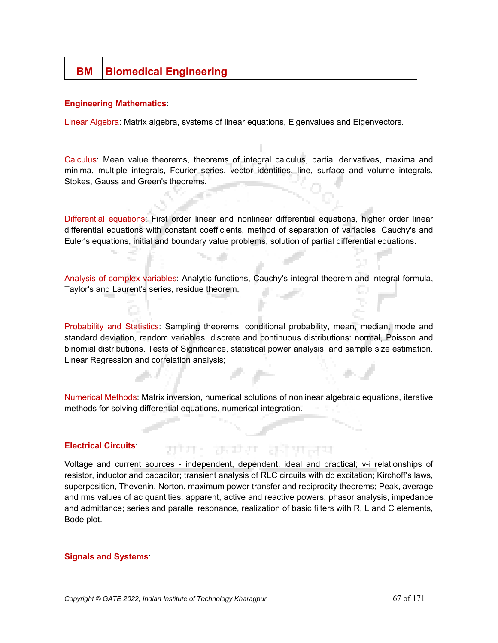# **BM** Biomedical Engineering

#### **Engineering Mathematics**:

Linear Algebra: Matrix algebra, systems of linear equations, Eigenvalues and Eigenvectors.

Calculus: Mean value theorems, theorems of integral calculus, partial derivatives, maxima and minima, multiple integrals, Fourier series, vector identities, line, surface and volume integrals, Stokes, Gauss and Green's theorems.

Differential equations: First order linear and nonlinear differential equations, higher order linear differential equations with constant coefficients, method of separation of variables, Cauchy's and Euler's equations, initial and boundary value problems, solution of partial differential equations.

Analysis of complex variables: Analytic functions, Cauchy's integral theorem and integral formula, Taylor's and Laurent's series, residue theorem.

Probability and Statistics: Sampling theorems, conditional probability, mean, median, mode and standard deviation, random variables, discrete and continuous distributions: normal, Poisson and binomial distributions. Tests of Significance, statistical power analysis, and sample size estimation. Linear Regression and correlation analysis;

Numerical Methods: Matrix inversion, numerical solutions of nonlinear algebraic equations, iterative methods for solving differential equations, numerical integration.

#### **Electrical Circuits**:

Voltage and current sources - independent, dependent, ideal and practical; v-i relationships of resistor, inductor and capacitor; transient analysis of RLC circuits with dc excitation; Kirchoff's laws, superposition, Thevenin, Norton, maximum power transfer and reciprocity theorems; Peak, average and rms values of ac quantities; apparent, active and reactive powers; phasor analysis, impedance and admittance; series and parallel resonance, realization of basic filters with R, L and C elements, Bode plot.

ਸ਼ਾਸ ਹਰਸਾ ਹਰਸਾਰ

#### **Signals and Systems**: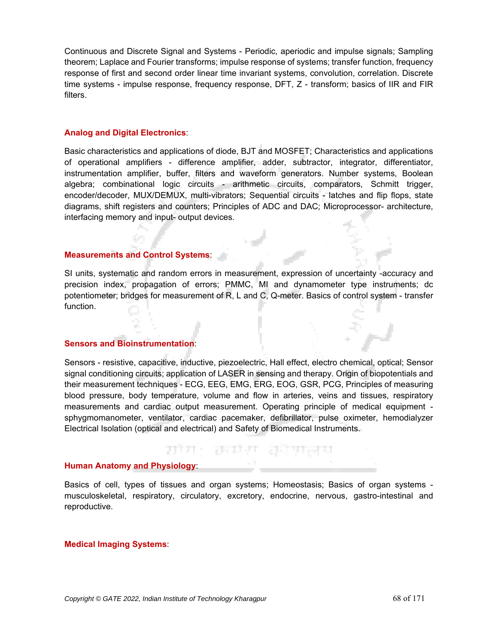Continuous and Discrete Signal and Systems - Periodic, aperiodic and impulse signals; Sampling theorem; Laplace and Fourier transforms; impulse response of systems; transfer function, frequency response of first and second order linear time invariant systems, convolution, correlation. Discrete time systems - impulse response, frequency response, DFT, Z - transform; basics of IIR and FIR filters.

#### **Analog and Digital Electronics**:

Basic characteristics and applications of diode, BJT and MOSFET; Characteristics and applications of operational amplifiers - difference amplifier, adder, subtractor, integrator, differentiator, instrumentation amplifier, buffer, filters and waveform generators. Number systems, Boolean algebra; combinational logic circuits - arithmetic circuits, comparators, Schmitt trigger, encoder/decoder, MUX/DEMUX, multi-vibrators; Sequential circuits - latches and flip flops, state diagrams, shift registers and counters; Principles of ADC and DAC; Microprocessor- architecture, interfacing memory and input- output devices.

# **Measurements and Control Systems**:

SI units, systematic and random errors in measurement, expression of uncertainty -accuracy and precision index, propagation of errors; PMMC, MI and dynamometer type instruments; dc potentiometer; bridges for measurement of R, L and C, Q-meter. Basics of control system - transfer function.

#### **Sensors and Bioinstrumentation**:

Sensors - resistive, capacitive, inductive, piezoelectric, Hall effect, electro chemical, optical; Sensor signal conditioning circuits; application of LASER in sensing and therapy. Origin of biopotentials and their measurement techniques - ECG, EEG, EMG, ERG, EOG, GSR, PCG, Principles of measuring blood pressure, body temperature, volume and flow in arteries, veins and tissues, respiratory measurements and cardiac output measurement. Operating principle of medical equipment sphygmomanometer, ventilator, cardiac pacemaker, defibrillator, pulse oximeter, hemodialyzer Electrical Isolation (optical and electrical) and Safety of Biomedical Instruments.

## **Human Anatomy and Physiology**:

Basics of cell, types of tissues and organ systems; Homeostasis; Basics of organ systems musculoskeletal, respiratory, circulatory, excretory, endocrine, nervous, gastro-intestinal and reproductive.

ਸ਼ਾਸ: ਲੰਦਾਦਾ ਲੱਖਸ਼ਰਧ

#### **Medical Imaging Systems**: